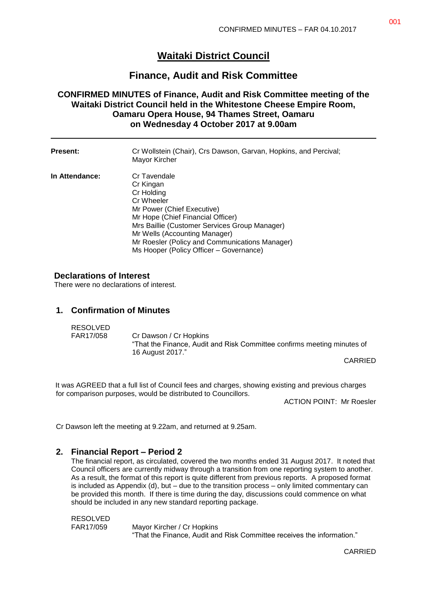# **Waitaki District Council**

## **Finance, Audit and Risk Committee**

### **CONFIRMED MINUTES of Finance, Audit and Risk Committee meeting of the Waitaki District Council held in the Whitestone Cheese Empire Room, Oamaru Opera House, 94 Thames Street, Oamaru on Wednesday 4 October 2017 at 9.00am**

| <b>Present:</b> | Cr Wollstein (Chair), Crs Dawson, Garvan, Hopkins, and Percival;<br>Mayor Kircher                                                                                                                                                                                                                       |
|-----------------|---------------------------------------------------------------------------------------------------------------------------------------------------------------------------------------------------------------------------------------------------------------------------------------------------------|
| In Attendance:  | Cr Tavendale<br>Cr Kingan<br>Cr Holding<br>Cr Wheeler<br>Mr Power (Chief Executive)<br>Mr Hope (Chief Financial Officer)<br>Mrs Baillie (Customer Services Group Manager)<br>Mr Wells (Accounting Manager)<br>Mr Roesler (Policy and Communications Manager)<br>Ms Hooper (Policy Officer - Governance) |

#### **Declarations of Interest**

There were no declarations of interest.

### **1. Confirmation of Minutes**

| RESOLVED  |                                                                                                   |
|-----------|---------------------------------------------------------------------------------------------------|
| FAR17/058 | Cr Dawson / Cr Hopkins<br>"That the Finance, Audit and Risk Committee confirms meeting minutes of |
|           | 16 August 2017."                                                                                  |

CARRIED

It was AGREED that a full list of Council fees and charges, showing existing and previous charges for comparison purposes, would be distributed to Councillors.

ACTION POINT: Mr Roesler

Cr Dawson left the meeting at 9.22am, and returned at 9.25am.

#### **2. Financial Report – Period 2**

The financial report, as circulated, covered the two months ended 31 August 2017. It noted that Council officers are currently midway through a transition from one reporting system to another. As a result, the format of this report is quite different from previous reports. A proposed format is included as Appendix (d), but – due to the transition process – only limited commentary can be provided this month. If there is time during the day, discussions could commence on what should be included in any new standard reporting package.

RESOLVED FAR17/059 Mayor Kircher / Cr Hopkins "That the Finance, Audit and Risk Committee receives the information."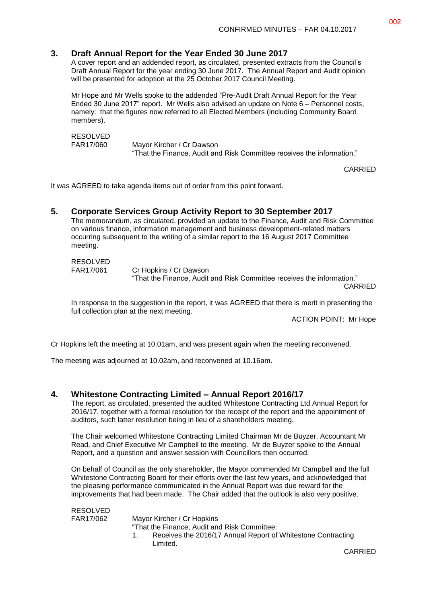### **3. Draft Annual Report for the Year Ended 30 June 2017**

A cover report and an addended report, as circulated, presented extracts from the Council's Draft Annual Report for the year ending 30 June 2017. The Annual Report and Audit opinion will be presented for adoption at the 25 October 2017 Council Meeting.

Mr Hope and Mr Wells spoke to the addended "Pre-Audit Draft Annual Report for the Year Ended 30 June 2017" report. Mr Wells also advised an update on Note 6 – Personnel costs, namely: that the figures now referred to all Elected Members (including Community Board members).

RESOLVED

FAR17/060 Mayor Kircher / Cr Dawson "That the Finance, Audit and Risk Committee receives the information."

CARRIED

It was AGREED to take agenda items out of order from this point forward.

### **5. Corporate Services Group Activity Report to 30 September 2017**

The memorandum, as circulated, provided an update to the Finance, Audit and Risk Committee on various finance, information management and business development-related matters occurring subsequent to the writing of a similar report to the 16 August 2017 Committee meeting.

#### RESOLVED

FAR17/061 Cr Hopkins / Cr Dawson "That the Finance, Audit and Risk Committee receives the information."

CARRIED

In response to the suggestion in the report, it was AGREED that there is merit in presenting the full collection plan at the next meeting.

ACTION POINT: Mr Hope

Cr Hopkins left the meeting at 10.01am, and was present again when the meeting reconvened.

The meeting was adjourned at 10.02am, and reconvened at 10.16am.

#### **4. Whitestone Contracting Limited – Annual Report 2016/17**

The report, as circulated, presented the audited Whitestone Contracting Ltd Annual Report for 2016/17, together with a formal resolution for the receipt of the report and the appointment of auditors, such latter resolution being in lieu of a shareholders meeting.

The Chair welcomed Whitestone Contracting Limited Chairman Mr de Buyzer, Accountant Mr Read, and Chief Executive Mr Campbell to the meeting. Mr de Buyzer spoke to the Annual Report, and a question and answer session with Councillors then occurred.

On behalf of Council as the only shareholder, the Mayor commended Mr Campbell and the full Whitestone Contracting Board for their efforts over the last few years, and acknowledged that the pleasing performance communicated in the Annual Report was due reward for the improvements that had been made. The Chair added that the outlook is also very positive.

RESOLVED

FAR17/062 Mayor Kircher / Cr Hopkins

"That the Finance, Audit and Risk Committee:

1. Receives the 2016/17 Annual Report of Whitestone Contracting Limited.

CARRIED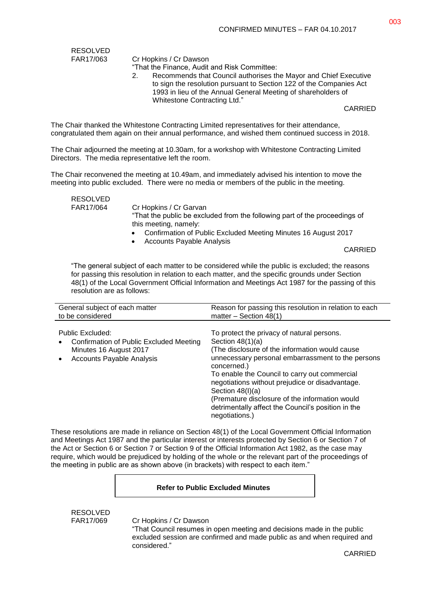RESOLVED<br>FAR17/063

Cr Hopkins / Cr Dawson

"That the Finance, Audit and Risk Committee:

2. Recommends that Council authorises the Mayor and Chief Executive to sign the resolution pursuant to Section 122 of the Companies Act 1993 in lieu of the Annual General Meeting of shareholders of Whitestone Contracting Ltd."

CARRIED

The Chair thanked the Whitestone Contracting Limited representatives for their attendance, congratulated them again on their annual performance, and wished them continued success in 2018.

The Chair adjourned the meeting at 10.30am, for a workshop with Whitestone Contracting Limited Directors. The media representative left the room.

The Chair reconvened the meeting at 10.49am, and immediately advised his intention to move the meeting into public excluded. There were no media or members of the public in the meeting.

RESOLVED<br>FAR17/064

Cr Hopkins / Cr Garvan

"That the public be excluded from the following part of the proceedings of this meeting, namely:

- Confirmation of Public Excluded Meeting Minutes 16 August 2017
- Accounts Payable Analysis

CARRIED

"The general subject of each matter to be considered while the public is excluded; the reasons for passing this resolution in relation to each matter, and the specific grounds under Section 48(1) of the Local Government Official Information and Meetings Act 1987 for the passing of this resolution are as follows:

| General subject of each matter                                                                                                         | Reason for passing this resolution in relation to each                                                                                                                                                                                                                                                                                                                                                                                      |
|----------------------------------------------------------------------------------------------------------------------------------------|---------------------------------------------------------------------------------------------------------------------------------------------------------------------------------------------------------------------------------------------------------------------------------------------------------------------------------------------------------------------------------------------------------------------------------------------|
| to be considered                                                                                                                       | matter – Section $48(1)$                                                                                                                                                                                                                                                                                                                                                                                                                    |
| Public Excluded:<br>Confirmation of Public Excluded Meeting<br>$\bullet$<br>Minutes 16 August 2017<br><b>Accounts Payable Analysis</b> | To protect the privacy of natural persons.<br>Section $48(1)(a)$<br>(The disclosure of the information would cause)<br>unnecessary personal embarrassment to the persons<br>concerned.)<br>To enable the Council to carry out commercial<br>negotiations without prejudice or disadvantage.<br>Section $48(l)(a)$<br>(Premature disclosure of the information would<br>detrimentally affect the Council's position in the<br>negotiations.) |

These resolutions are made in reliance on Section 48(1) of the Local Government Official Information and Meetings Act 1987 and the particular interest or interests protected by Section 6 or Section 7 of the Act or Section 6 or Section 7 or Section 9 of the Official Information Act 1982, as the case may require, which would be prejudiced by holding of the whole or the relevant part of the proceedings of the meeting in public are as shown above (in brackets) with respect to each item."

#### **Refer to Public Excluded Minutes**

RESOLVED

FAR17/069 Cr Hopkins / Cr Dawson

"That Council resumes in open meeting and decisions made in the public excluded session are confirmed and made public as and when required and considered."